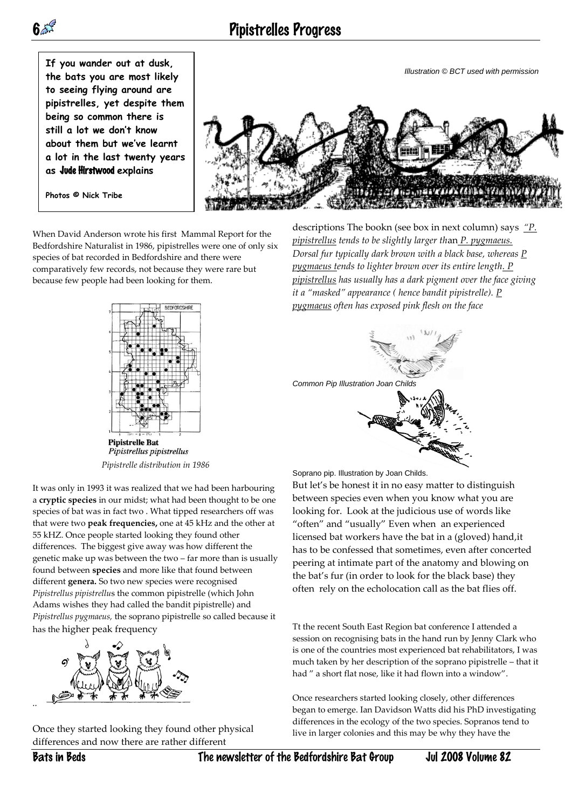



**Photos © Nick Tribe**



When David Anderson wrote his first Mammal Report for the Bedfordshire Naturalist in 1986, pipistrelles were one of only six species of bat recorded in Bedfordshire and there were comparatively few records, not because they were rare but because few people had been looking for them.



Pipistrellus pipistrellus *Pipistrelle distribution in 1986*

It was only in 1993 it was realized that we had been harbouring a **cryptic species** in our midst; what had been thought to be one species of bat was in fact two . What tipped researchers off was that were two **peak frequencies,** one at 45 kHz and the other at 55 kHZ. Once people started looking they found other differences. The biggest give away was how different the genetic make up was between the two – far more than is usually found between **species** and more like that found between different **genera.** So two new species were recognised *Pipistrellus pipistrellu*s the common pipistrelle (which John Adams wishes they had called the bandit pipistrelle) and *Pipistrellus pygmaeus,* the soprano pipistrelle so called because it has the higher peak frequency



Once they started looking they found other physical differences and now there are rather different

descriptions The bookn (see box in next column) says *"P. pipistrellus tends to be slightly larger th*an *P. pygmaeus. Dorsal fur typically dark brown with a black base, whereas P pygmaeus tends to lighter brown over its entire length. P pipistrellus has usually has a dark pigment over the face giving it a "masked" appearance ( hence bandit pipistrelle). P pygmaeus often has exposed pink flesh on the face*



Soprano pip. Illustration by Joan Childs.

But let's be honest it in no easy matter to distinguish between species even when you know what you are looking for. Look at the judicious use of words like "often" and "usually" Even when an experienced licensed bat workers have the bat in a (gloved) hand,it has to be confessed that sometimes, even after concerted peering at intimate part of the anatomy and blowing on the bat's fur (in order to look for the black base) they often rely on the echolocation call as the bat flies off.

Tt the recent South East Region bat conference I attended a session on recognising bats in the hand run by Jenny Clark who is one of the countries most experienced bat rehabilitators, I was much taken by her description of the soprano pipistrelle – that it had " a short flat nose, like it had flown into a window".

Once researchers started looking closely, other differences began to emerge. Ian Davidson Watts did his PhD investigating differences in the ecology of the two species. Sopranos tend to live in larger colonies and this may be why they have the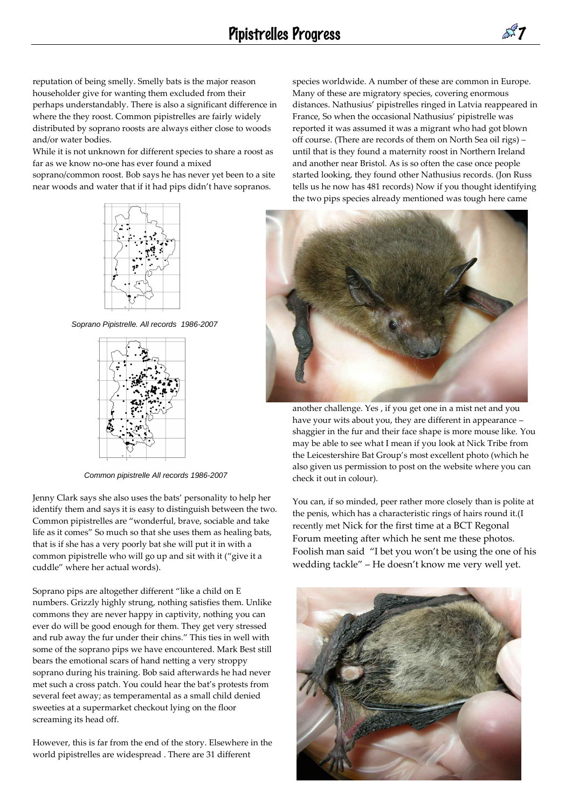reputation of being smelly. Smelly bats is the major reason householder give for wanting them excluded from their perhaps understandably. There is also a significant difference in where the they roost. Common pipistrelles are fairly widely distributed by soprano roosts are always either close to woods and/or water bodies.

While it is not unknown for different species to share a roost as far as we know no-one has ever found a mixed

soprano/common roost. Bob says he has never yet been to a site near woods and water that if it had pips didn't have sopranos.



*Soprano Pipistrelle. All records 1986-2007*



*Common pipistrelle All records 1986-2007*

Jenny Clark says she also uses the bats' personality to help her identify them and says it is easy to distinguish between the two. Common pipistrelles are "wonderful, brave, sociable and take life as it comes" So much so that she uses them as healing bats, that is if she has a very poorly bat she will put it in with a common pipistrelle who will go up and sit with it ("give it a cuddle" where her actual words).

Soprano pips are altogether different "like a child on E numbers. Grizzly highly strung, nothing satisfies them. Unlike commons they are never happy in captivity, nothing you can ever do will be good enough for them. They get very stressed and rub away the fur under their chins." This ties in well with some of the soprano pips we have encountered. Mark Best still bears the emotional scars of hand netting a very stroppy soprano during his training. Bob said afterwards he had never met such a cross patch. You could hear the bat's protests from several feet away; as temperamental as a small child denied sweeties at a supermarket checkout lying on the floor screaming its head off.

However, this is far from the end of the story. Elsewhere in the world pipistrelles are widespread . There are 31 different

species worldwide. A number of these are common in Europe. Many of these are migratory species, covering enormous distances. Nathusius' pipistrelles ringed in Latvia reappeared in France, So when the occasional Nathusius' pipistrelle was reported it was assumed it was a migrant who had got blown off course. (There are records of them on North Sea oil rigs) – until that is they found a maternity roost in Northern Ireland and another near Bristol. As is so often the case once people started looking, they found other Nathusius records. (Jon Russ tells us he now has 481 records) Now if you thought identifying the two pips species already mentioned was tough here came



another challenge. Yes , if you get one in a mist net and you have your wits about you, they are different in appearance – shaggier in the fur and their face shape is more mouse like. You may be able to see what I mean if you look at Nick Tribe from the Leicestershire Bat Group's most excellent photo (which he also given us permission to post on the website where you can check it out in colour).

You can, if so minded, peer rather more closely than is polite at the penis, which has a characteristic rings of hairs round it.(I recently met Nick for the first time at a BCT Regonal Forum meeting after which he sent me these photos. Foolish man said "I bet you won't be using the one of his wedding tackle" – He doesn't know me very well yet.